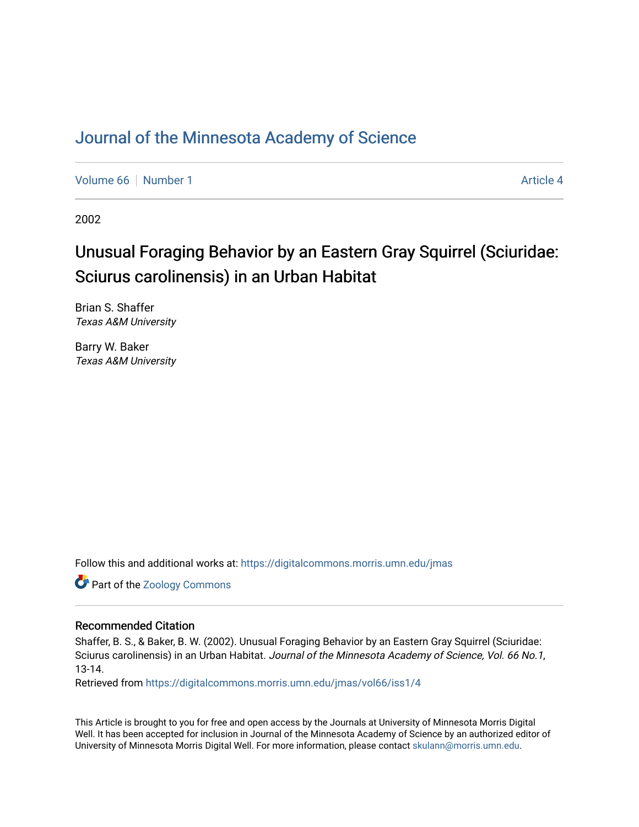## [Journal of the Minnesota Academy of Science](https://digitalcommons.morris.umn.edu/jmas)

[Volume 66](https://digitalcommons.morris.umn.edu/jmas/vol66) [Number 1](https://digitalcommons.morris.umn.edu/jmas/vol66/iss1) Article 4

2002

# Unusual Foraging Behavior by an Eastern Gray Squirrel (Sciuridae: Sciurus carolinensis) in an Urban Habitat

Brian S. Shaffer Texas A&M University

Barry W. Baker Texas A&M University

Follow this and additional works at: [https://digitalcommons.morris.umn.edu/jmas](https://digitalcommons.morris.umn.edu/jmas?utm_source=digitalcommons.morris.umn.edu%2Fjmas%2Fvol66%2Fiss1%2F4&utm_medium=PDF&utm_campaign=PDFCoverPages) 

Part of the [Zoology Commons](https://network.bepress.com/hgg/discipline/81?utm_source=digitalcommons.morris.umn.edu%2Fjmas%2Fvol66%2Fiss1%2F4&utm_medium=PDF&utm_campaign=PDFCoverPages) 

#### Recommended Citation

Shaffer, B. S., & Baker, B. W. (2002). Unusual Foraging Behavior by an Eastern Gray Squirrel (Sciuridae: Sciurus carolinensis) in an Urban Habitat. Journal of the Minnesota Academy of Science, Vol. 66 No.1, 13-14.

Retrieved from [https://digitalcommons.morris.umn.edu/jmas/vol66/iss1/4](https://digitalcommons.morris.umn.edu/jmas/vol66/iss1/4?utm_source=digitalcommons.morris.umn.edu%2Fjmas%2Fvol66%2Fiss1%2F4&utm_medium=PDF&utm_campaign=PDFCoverPages)

This Article is brought to you for free and open access by the Journals at University of Minnesota Morris Digital Well. It has been accepted for inclusion in Journal of the Minnesota Academy of Science by an authorized editor of University of Minnesota Morris Digital Well. For more information, please contact [skulann@morris.umn.edu](mailto:skulann@morris.umn.edu).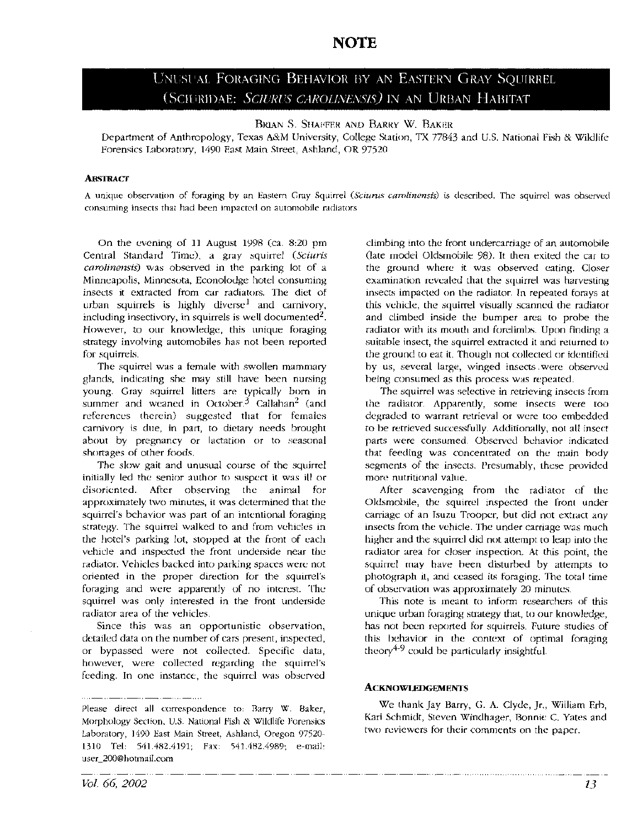### **NOTE**

## UNUSUAL FORAGING BEHAVIOR BY AN EASTERN GRAY SQUIRREL (SCIURIDAE: *SCIURUS CAROLINENSIS*) IN AN URBAN HABITAT

#### BRIAN S. SHAFFER AND BARRY W. BAKER

Department of Anthropology, Texas A&M University, College Station, TX 77843 and U.S. National Fish & Wildlife Forensics Laboratory, 1490 East Main Street, Ashland, OR 97520

#### **ABsTRACT**

A unique observation of foraging by an Eastern Gray Squirrel (Sciurus carolinensis) is described. The squirrel was observed consuming insects that had been impacted on automobile radiators

On the evening of 11 August 1998 (ca. 8:20 pm Central Standard Time), a gray squirrel *(Sciuris carolinensis)* was observed in the parking lot of a Minneapolis, Minnesota, Econolodge hotel consuming insects it extracted from car radiators. The diet of urban squirrels is highly diverse<sup>1</sup> and carnivory, including insectivory, in squirrels is well documented<sup>2</sup>. However, to our knowledge, this unique foraging strategy involving automobiles has not been reported for squirrels.

The squirrel was a female with swollen mammary glands, indicating she may still have been nursing young. Gray squirrel litters are typically born in summer and weaned in October.<sup>3</sup> Callahan<sup>2</sup> (and references therein) suggested that for females carnivory is due, in part, to dietary needs brought about by pregnancy or lactation or to seasonal shortages of other foods.

The slow gait and unusual course of the squirrel initially led the senior author to suspect it was ill or disoriented. After observing the animal for approximately two minutes, it was determined that the squirrel's behavior was part of an intentional foraging strategy. The squirrel walked to and from vehicles in the hotel's parking lot, stopped at the front of each vehicle and inspected the front underside near the radiator. Vehicles backed into parking spaces were not oriented in the proper direction for the squirrel's foraging and were apparently of no interest. The squirrel was only interested in the front underside radiator area of the vehicles.

Since this was an opportunistic observation, detailed data on the number of cars present, inspected, or bypassed were not collected. Specific data, however, were collected regarding the squirrel's feeding. In one instance, the squirrel was observed

climbing into the front undercarriage of an automobile (late model Oldsmobile 98). It then exited the car to the ground where it was observed eating. Closer examination revealed that the squirrel was harvesting insects impacted on the radiator. In repeated forays at this vehicle, the squirrel visually scanned the radiator and climbed inside the bumper area to probe the radiator with its mouth and forelimbs. Upon finding a suitable insect, the squirrel extracted it and returned to the ground to eat it. Though not collected or identified by us, several large, winged insects . were observed being consumed as this process was repeated.

The squirrel was selective in retrieving insects from the radiator. Apparently, some insects were too degraded to warrant retrieval or were too embedded to be retrieved successfully. Additionally, not all insect parts were consumed. Observed behavior indicated that feeding was concentrated on the main body segments of the insects. Presumably, these provided more nutritional value.

After scavenging from the radiator of the Oldsmobile, the squirrel inspected the front under carriage of an Isuzu Trooper, but did not extract any insects from the vehicle. The under carriage was much higher and the squirrel did not attempt to leap into the radiator area for closer inspection. At this point, the squirrel may have been disturbed by attempts to photograph it, and ceased its foraging. The total time of observation was approximately 20 minutes.

This note is meant to inform researchers of this unique urban foraging strategy that, to our knowledge, has not been reported for squirrels. Future studies of this behavior in the context of optimal foraging theory $4-9$  could be particularly insightful.

#### **ACKNOWLEDGEMENTS**

We thank Jay Barry, G. A. Clyde, Jr., William Erb, Kari Schmidt, Steven Windhager, Bonnie C. Yates and two reviewers for their comments on the paper.

Please direct all correspondence to: Barry W. Baker, Morphology Section, U.S. National Fish & Wildlife Forensics Laboratory, 1490 East Main Street, Ashland, Oregon 97520- 1310 Tel: 541.482.4191; Fax: 541.482.4989; e-mail: user\_200@hotmail.com